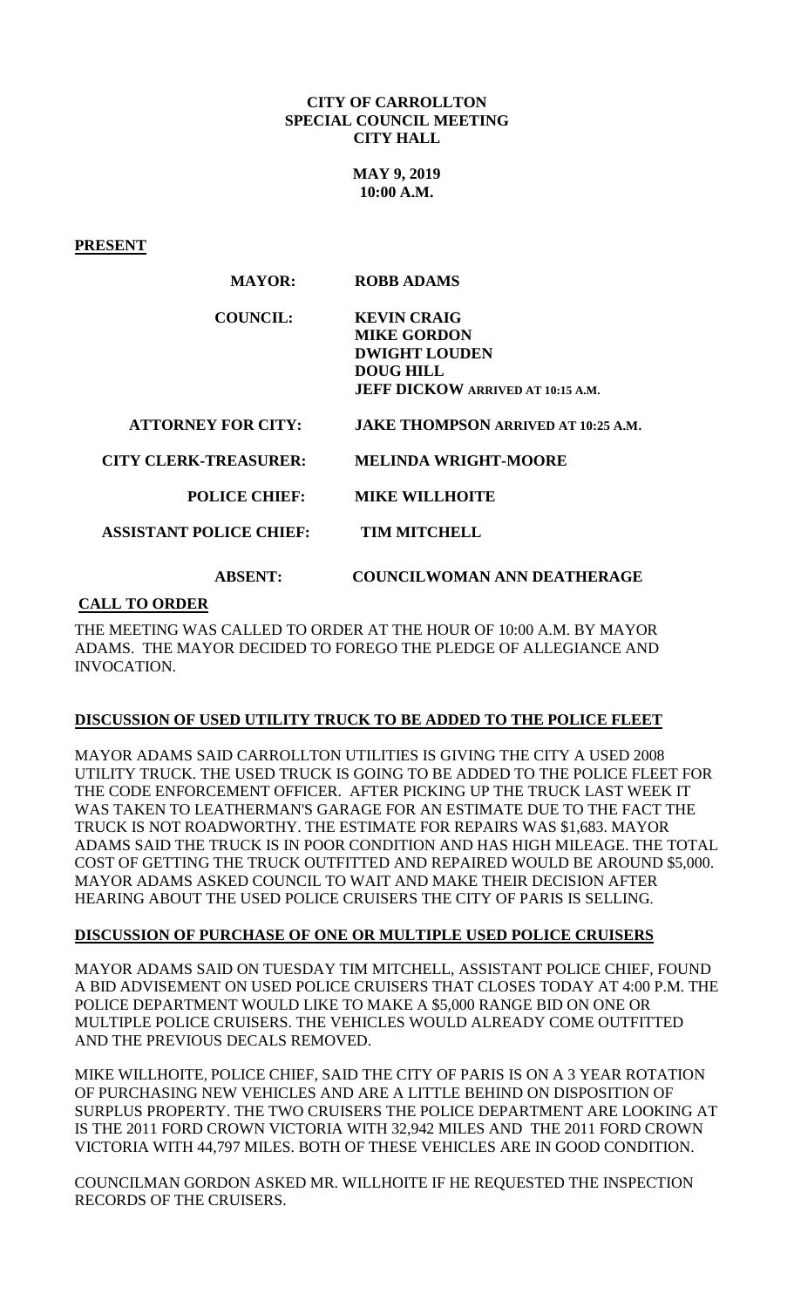#### **CITY OF CARROLLTON SPECIAL COUNCIL MEETING CITY HALL**

**MAY 9, 2019 10:00 A.M.**

**PRESENT**

| <b>COUNCIL:</b> | <b>KEVIN CRAIG</b>                       |
|-----------------|------------------------------------------|
|                 | <b>MIKE GORDON</b>                       |
|                 | <b>DWIGHT LOUDEN</b>                     |
|                 | <b>DOUG HILL</b>                         |
|                 | <b>JEFF DICKOW ARRIVED AT 10:15 A.M.</b> |

 **ATTORNEY FOR CITY: JAKE THOMPSON ARRIVED AT 10:25 A.M.** 

 **CITY CLERK-TREASURER: MELINDA WRIGHT-MOORE**

### **POLICE CHIEF: MIKE WILLHOITE**

 **ASSISTANT POLICE CHIEF: TIM MITCHELL**

## **ABSENT: COUNCILWOMAN ANN DEATHERAGE**

## **CALL TO ORDER**

THE MEETING WAS CALLED TO ORDER AT THE HOUR OF 10:00 A.M. BY MAYOR ADAMS. THE MAYOR DECIDED TO FOREGO THE PLEDGE OF ALLEGIANCE AND INVOCATION.

# **DISCUSSION OF USED UTILITY TRUCK TO BE ADDED TO THE POLICE FLEET**

MAYOR ADAMS SAID CARROLLTON UTILITIES IS GIVING THE CITY A USED 2008 UTILITY TRUCK. THE USED TRUCK IS GOING TO BE ADDED TO THE POLICE FLEET FOR THE CODE ENFORCEMENT OFFICER. AFTER PICKING UP THE TRUCK LAST WEEK IT WAS TAKEN TO LEATHERMAN'S GARAGE FOR AN ESTIMATE DUE TO THE FACT THE TRUCK IS NOT ROADWORTHY. THE ESTIMATE FOR REPAIRS WAS \$1,683. MAYOR ADAMS SAID THE TRUCK IS IN POOR CONDITION AND HAS HIGH MILEAGE. THE TOTAL COST OF GETTING THE TRUCK OUTFITTED AND REPAIRED WOULD BE AROUND \$5,000. MAYOR ADAMS ASKED COUNCIL TO WAIT AND MAKE THEIR DECISION AFTER HEARING ABOUT THE USED POLICE CRUISERS THE CITY OF PARIS IS SELLING.

### **DISCUSSION OF PURCHASE OF ONE OR MULTIPLE USED POLICE CRUISERS**

MAYOR ADAMS SAID ON TUESDAY TIM MITCHELL, ASSISTANT POLICE CHIEF, FOUND A BID ADVISEMENT ON USED POLICE CRUISERS THAT CLOSES TODAY AT 4:00 P.M. THE POLICE DEPARTMENT WOULD LIKE TO MAKE A \$5,000 RANGE BID ON ONE OR MULTIPLE POLICE CRUISERS. THE VEHICLES WOULD ALREADY COME OUTFITTED AND THE PREVIOUS DECALS REMOVED.

MIKE WILLHOITE, POLICE CHIEF, SAID THE CITY OF PARIS IS ON A 3 YEAR ROTATION OF PURCHASING NEW VEHICLES AND ARE A LITTLE BEHIND ON DISPOSITION OF SURPLUS PROPERTY. THE TWO CRUISERS THE POLICE DEPARTMENT ARE LOOKING AT IS THE 2011 FORD CROWN VICTORIA WITH 32,942 MILES AND THE 2011 FORD CROWN VICTORIA WITH 44,797 MILES. BOTH OF THESE VEHICLES ARE IN GOOD CONDITION.

COUNCILMAN GORDON ASKED MR. WILLHOITE IF HE REQUESTED THE INSPECTION RECORDS OF THE CRUISERS.